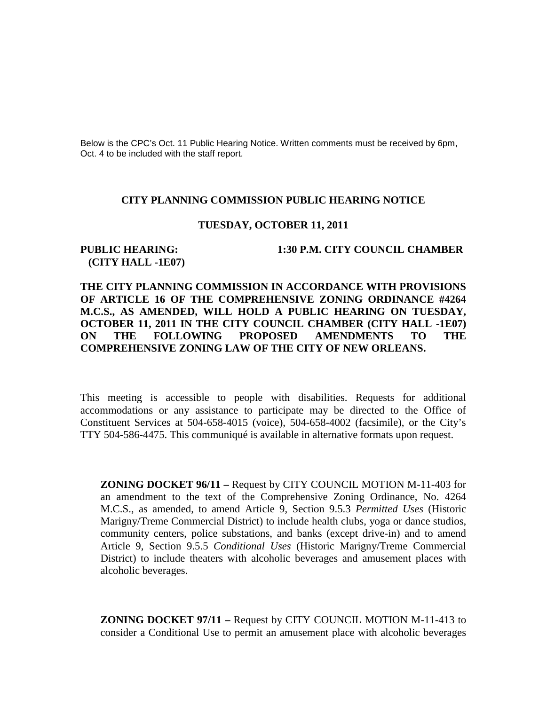Below is the CPC's Oct. 11 Public Hearing Notice. Written comments must be received by 6pm, Oct. 4 to be included with the staff report.

#### **CITY PLANNING COMMISSION PUBLIC HEARING NOTICE**

### **TUESDAY, OCTOBER 11, 2011**

# **(CITY HALL -1E07)**

#### **PUBLIC HEARING: 1:30 P.M. CITY COUNCIL CHAMBER**

## **THE CITY PLANNING COMMISSION IN ACCORDANCE WITH PROVISIONS OF ARTICLE 16 OF THE COMPREHENSIVE ZONING ORDINANCE #4264 M.C.S., AS AMENDED, WILL HOLD A PUBLIC HEARING ON TUESDAY, OCTOBER 11, 2011 IN THE CITY COUNCIL CHAMBER (CITY HALL -1E07) ON THE FOLLOWING PROPOSED AMENDMENTS TO THE COMPREHENSIVE ZONING LAW OF THE CITY OF NEW ORLEANS.**

This meeting is accessible to people with disabilities. Requests for additional accommodations or any assistance to participate may be directed to the Office of Constituent Services at 504-658-4015 (voice), 504-658-4002 (facsimile), or the City's TTY 504-586-4475. This communiqué is available in alternative formats upon request.

**ZONING DOCKET 96/11 –** Request by CITY COUNCIL MOTION M-11-403 for an amendment to the text of the Comprehensive Zoning Ordinance, No. 4264 M.C.S., as amended, to amend Article 9, Section 9.5.3 *Permitted Uses* (Historic Marigny/Treme Commercial District) to include health clubs, yoga or dance studios, community centers, police substations, and banks (except drive-in) and to amend Article 9, Section 9.5.5 *Conditional Uses* (Historic Marigny/Treme Commercial District) to include theaters with alcoholic beverages and amusement places with alcoholic beverages.

**ZONING DOCKET 97/11 –** Request by CITY COUNCIL MOTION M-11-413 to consider a Conditional Use to permit an amusement place with alcoholic beverages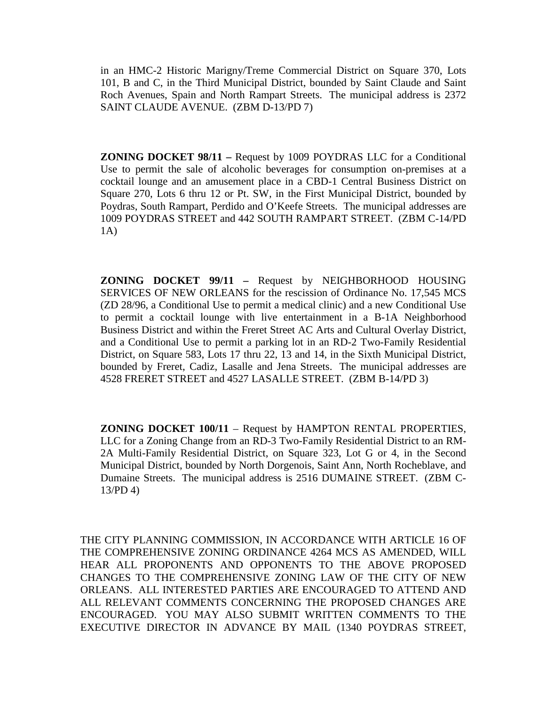in an HMC-2 Historic Marigny/Treme Commercial District on Square 370, Lots 101, B and C, in the Third Municipal District, bounded by Saint Claude and Saint Roch Avenues, Spain and North Rampart Streets. The municipal address is 2372 SAINT CLAUDE AVENUE. (ZBM D-13/PD 7)

**ZONING DOCKET 98/11 –** Request by 1009 POYDRAS LLC for a Conditional Use to permit the sale of alcoholic beverages for consumption on-premises at a cocktail lounge and an amusement place in a CBD-1 Central Business District on Square 270, Lots 6 thru 12 or Pt. SW, in the First Municipal District, bounded by Poydras, South Rampart, Perdido and O'Keefe Streets. The municipal addresses are 1009 POYDRAS STREET and 442 SOUTH RAMPART STREET. (ZBM C-14/PD 1A)

**ZONING DOCKET 99/11 –** Request by NEIGHBORHOOD HOUSING SERVICES OF NEW ORLEANS for the rescission of Ordinance No. 17,545 MCS (ZD 28/96, a Conditional Use to permit a medical clinic) and a new Conditional Use to permit a cocktail lounge with live entertainment in a B-1A Neighborhood Business District and within the Freret Street AC Arts and Cultural Overlay District, and a Conditional Use to permit a parking lot in an RD-2 Two-Family Residential District, on Square 583, Lots 17 thru 22, 13 and 14, in the Sixth Municipal District, bounded by Freret, Cadiz, Lasalle and Jena Streets. The municipal addresses are 4528 FRERET STREET and 4527 LASALLE STREET. (ZBM B-14/PD 3)

**ZONING DOCKET 100/11** – Request by HAMPTON RENTAL PROPERTIES, LLC for a Zoning Change from an RD-3 Two-Family Residential District to an RM-2A Multi-Family Residential District, on Square 323, Lot G or 4, in the Second Municipal District, bounded by North Dorgenois, Saint Ann, North Rocheblave, and Dumaine Streets. The municipal address is 2516 DUMAINE STREET. (ZBM C-13/PD 4)

THE CITY PLANNING COMMISSION, IN ACCORDANCE WITH ARTICLE 16 OF THE COMPREHENSIVE ZONING ORDINANCE 4264 MCS AS AMENDED, WILL HEAR ALL PROPONENTS AND OPPONENTS TO THE ABOVE PROPOSED CHANGES TO THE COMPREHENSIVE ZONING LAW OF THE CITY OF NEW ORLEANS. ALL INTERESTED PARTIES ARE ENCOURAGED TO ATTEND AND ALL RELEVANT COMMENTS CONCERNING THE PROPOSED CHANGES ARE ENCOURAGED. YOU MAY ALSO SUBMIT WRITTEN COMMENTS TO THE EXECUTIVE DIRECTOR IN ADVANCE BY MAIL (1340 POYDRAS STREET,